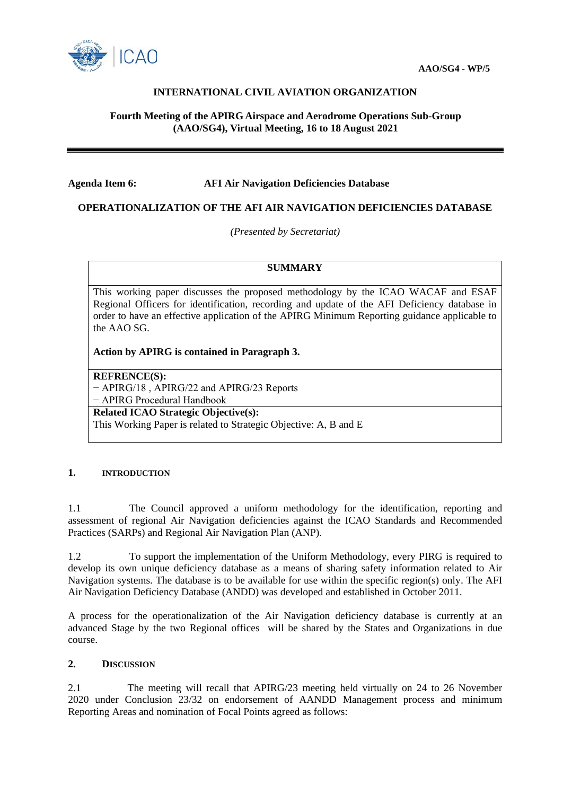

# **INTERNATIONAL CIVIL AVIATION ORGANIZATION**

# **Fourth Meeting of the APIRG Airspace and Aerodrome Operations Sub-Group (AAO/SG4), Virtual Meeting, 16 to 18 August 2021**

#### **Agenda Item 6: AFI Air Navigation Deficiencies Database**

# **OPERATIONALIZATION OF THE AFI AIR NAVIGATION DEFICIENCIES DATABASE**

*(Presented by Secretariat)*

### **SUMMARY**

This working paper discusses the proposed methodology by the ICAO WACAF and ESAF Regional Officers for identification, recording and update of the AFI Deficiency database in order to have an effective application of the APIRG Minimum Reporting guidance applicable to the AAO SG.

**Action by APIRG is contained in Paragraph 3.**

**REFRENCE(S):**

− APIRG/18 , APIRG/22 and APIRG/23 Reports − APIRG Procedural Handbook **Related ICAO Strategic Objective(s):**

This Working Paper is related to Strategic Objective: A, B and E

#### **1. INTRODUCTION**

1.1 The Council approved a uniform methodology for the identification, reporting and assessment of regional Air Navigation deficiencies against the ICAO Standards and Recommended Practices (SARPs) and Regional Air Navigation Plan (ANP).

1.2 To support the implementation of the Uniform Methodology, every PIRG is required to develop its own unique deficiency database as a means of sharing safety information related to Air Navigation systems. The database is to be available for use within the specific region(s) only. The AFI Air Navigation Deficiency Database (ANDD) was developed and established in October 2011.

A process for the operationalization of the Air Navigation deficiency database is currently at an advanced Stage by the two Regional offices will be shared by the States and Organizations in due course.

#### **2. DISCUSSION**

2.1 The meeting will recall that APIRG/23 meeting held virtually on 24 to 26 November 2020 under Conclusion 23/32 on endorsement of AANDD Management process and minimum Reporting Areas and nomination of Focal Points agreed as follows: